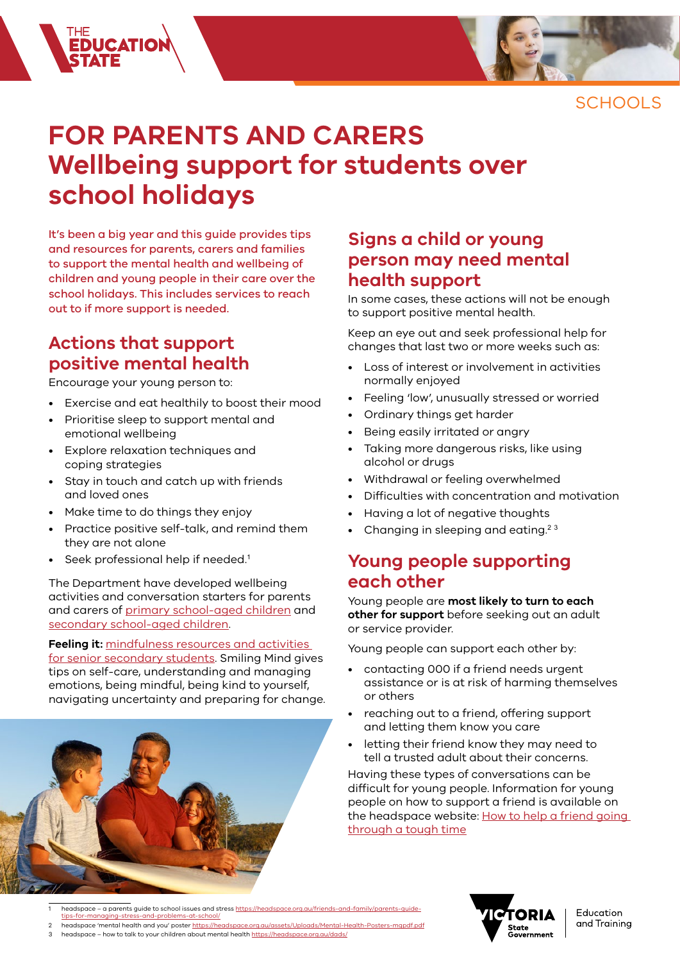

SCHOOLS

# **FOR PARENTS AND CARERS Wellbeing support for students over school holidays**

It's been a big year and this guide provides tips and resources for parents, carers and families to support the mental health and wellbeing of children and young people in their care over the school holidays. This includes services to reach out to if more support is needed.

#### **Actions that support positive mental health**

Encourage your young person to:

FIE<br>**EDUCATIO**<br>STATE

- Exercise and eat healthily to boost their mood
- Prioritise sleep to support mental and emotional wellbeing
- Explore relaxation techniques and coping strategies
- Stay in touch and catch up with friends and loved ones
- Make time to do things they enjoy
- Practice positive self-talk, and remind them they are not alone
- Seek professional help if needed.<sup>1</sup>

The Department have developed wellbeing activities and conversation starters for parents and carers of [primary school-aged children](https://www.education.vic.gov.au/Documents/parents/family-health/parents-wellbeing-activities-primary.pdf) and [secondary school-aged children](https://www.education.vic.gov.au/Documents/parents/family-health/parents-wellbeing-activities-secondary.pdf).

#### **Feeling it:** [mindfulness resources and activities](https://www.coronavirus.vic.gov.au/students)

[for senior secondary students](https://www.coronavirus.vic.gov.au/students). Smiling Mind gives tips on self-care, understanding and managing emotions, being mindful, being kind to yourself, navigating uncertainty and preparing for change.



#### **Signs a child or young person may need mental health support**

In some cases, these actions will not be enough to support positive mental health.

Keep an eye out and seek professional help for changes that last two or more weeks such as:

- Loss of interest or involvement in activities normally enjoyed
- Feeling 'low', unusually stressed or worried
- Ordinary things get harder
- Being easily irritated or angry
- Taking more dangerous risks, like using alcohol or drugs
- Withdrawal or feeling overwhelmed
- Difficulties with concentration and motivation
- Having a lot of negative thoughts
- Changing in sleeping and eating.<sup>23</sup>

#### **Young people supporting each other**

Young people are **most likely to turn to each other for support** before seeking out an adult or service provider.

Young people can support each other by:

- contacting 000 if a friend needs urgent assistance or is at risk of harming themselves or others
- reaching out to a friend, offering support and letting them know you care
- letting their friend know they may need to tell a trusted adult about their concerns.

Having these types of conversations can be difficult for young people. Information for young people on how to support a friend is available on the headspace website: How to help a friend going [through a tough time](https://headspace.org.au/young-people/how-to-help-a-friend/)

- 1 headspace a parents guide to school issues and stress [https://headspace.org.au/friends-and-family/parents-guide](https://headspace.org.au/friends-and-family/parents-guide-tips-for-managing-stress-and-problems-at-school/)[tips-for-managing-stress-and-problems-at-school/](https://headspace.org.au/friends-and-family/parents-guide-tips-for-managing-stress-and-problems-at-school/)
- headspace 'mental health and you' poster https://headspace.org.au/assets/Uploads/Mental-He
- 3 headspace how to talk to your children about mental health<https://headspace.org.au/dads/>